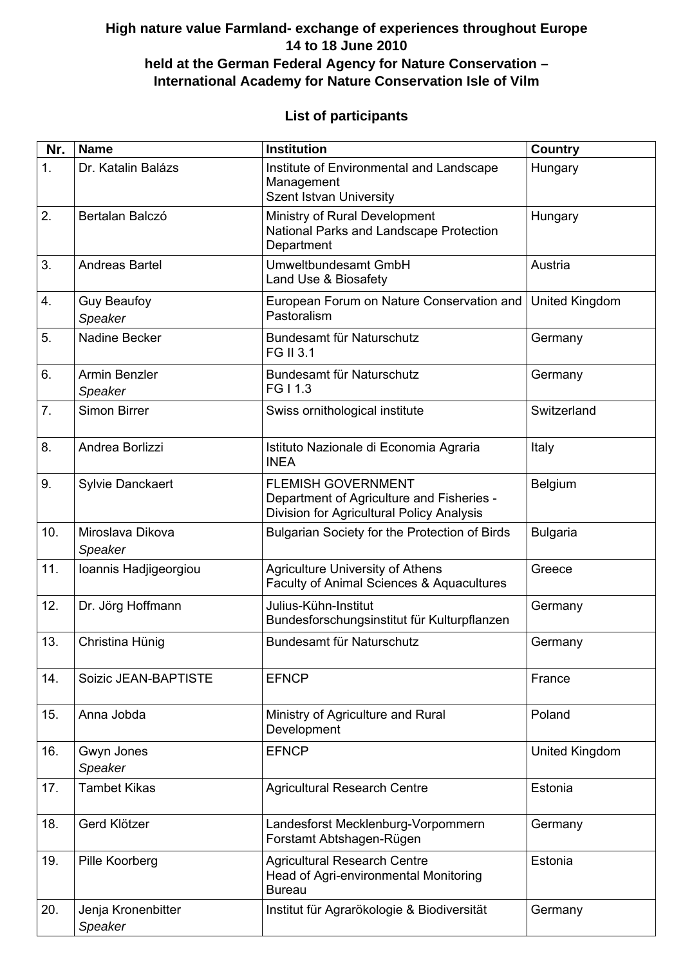## **High nature value Farmland- exchange of experiences throughout Europe 14 to 18 June 2010 held at the German Federal Agency for Nature Conservation – International Academy for Nature Conservation Isle of Vilm**

## **List of participants**

| Nr. | <b>Name</b>                   | <b>Institution</b>                                                                                                  | <b>Country</b>  |
|-----|-------------------------------|---------------------------------------------------------------------------------------------------------------------|-----------------|
| 1.  | Dr. Katalin Balázs            | Institute of Environmental and Landscape<br>Management<br>Szent Istvan University                                   | Hungary         |
| 2.  | Bertalan Balczó               | Ministry of Rural Development<br>National Parks and Landscape Protection<br>Department                              | Hungary         |
| 3.  | Andreas Bartel                | Umweltbundesamt GmbH<br>Land Use & Biosafety                                                                        | Austria         |
| 4.  | <b>Guy Beaufoy</b><br>Speaker | European Forum on Nature Conservation and<br>Pastoralism                                                            | United Kingdom  |
| 5.  | <b>Nadine Becker</b>          | Bundesamt für Naturschutz<br>FG II 3.1                                                                              | Germany         |
| 6.  | Armin Benzler<br>Speaker      | Bundesamt für Naturschutz<br>FG I 1.3                                                                               | Germany         |
| 7.  | Simon Birrer                  | Swiss ornithological institute                                                                                      | Switzerland     |
| 8.  | Andrea Borlizzi               | Istituto Nazionale di Economia Agraria<br><b>INEA</b>                                                               | Italy           |
| 9.  | Sylvie Danckaert              | <b>FLEMISH GOVERNMENT</b><br>Department of Agriculture and Fisheries -<br>Division for Agricultural Policy Analysis | Belgium         |
| 10. | Miroslava Dikova<br>Speaker   | Bulgarian Society for the Protection of Birds                                                                       | <b>Bulgaria</b> |
| 11. | Ioannis Hadjigeorgiou         | <b>Agriculture University of Athens</b><br>Faculty of Animal Sciences & Aquacultures                                | Greece          |
| 12. | Dr. Jörg Hoffmann             | Julius-Kühn-Institut<br>Bundesforschungsinstitut für Kulturpflanzen                                                 | Germany         |
| 13. | Christina Hünig               | Bundesamt für Naturschutz                                                                                           | Germany         |
| 14. | Soizic JEAN-BAPTISTE          | <b>EFNCP</b>                                                                                                        | France          |
| 15. | Anna Jobda                    | Ministry of Agriculture and Rural<br>Development                                                                    | Poland          |
| 16. | Gwyn Jones<br>Speaker         | <b>EFNCP</b>                                                                                                        | United Kingdom  |
| 17. | <b>Tambet Kikas</b>           | <b>Agricultural Research Centre</b>                                                                                 | Estonia         |
| 18. | Gerd Klötzer                  | Landesforst Mecklenburg-Vorpommern<br>Forstamt Abtshagen-Rügen                                                      | Germany         |
| 19. | Pille Koorberg                | <b>Agricultural Research Centre</b><br>Head of Agri-environmental Monitoring<br><b>Bureau</b>                       | Estonia         |
| 20. | Jenja Kronenbitter<br>Speaker | Institut für Agrarökologie & Biodiversität                                                                          | Germany         |